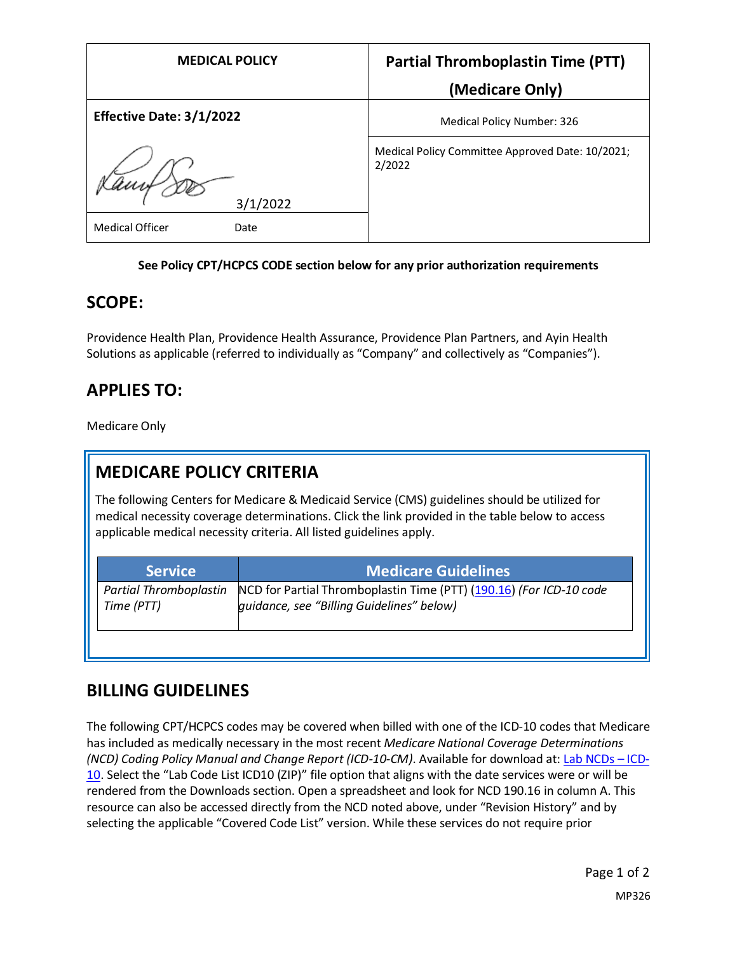| <b>MEDICAL POLICY</b>           | <b>Partial Thromboplastin Time (PTT)</b>                   |
|---------------------------------|------------------------------------------------------------|
|                                 | (Medicare Only)                                            |
| <b>Effective Date: 3/1/2022</b> | Medical Policy Number: 326                                 |
| 3/1/2022                        | Medical Policy Committee Approved Date: 10/2021;<br>2/2022 |
| <b>Medical Officer</b><br>Date  |                                                            |

#### **See Policy CPT/HCPCS CODE section below for any prior authorization requirements**

#### **SCOPE:**

Providence Health Plan, Providence Health Assurance, Providence Plan Partners, and Ayin Health Solutions as applicable (referred to individually as "Company" and collectively as "Companies").

### **APPLIES TO:**

Medicare Only

## **MEDICARE POLICY CRITERIA**

The following Centers for Medicare & Medicaid Service (CMS) guidelines should be utilized for medical necessity coverage determinations. Click the link provided in the table below to access applicable medical necessity criteria. All listed guidelines apply.

| <b>Service</b>                | <b>Medicare Guidelines</b>                                          |
|-------------------------------|---------------------------------------------------------------------|
| <b>Partial Thromboplastin</b> | NCD for Partial Thromboplastin Time (PTT) (190.16) (For ICD-10 code |
| Time (PTT)                    | quidance, see "Billing Guidelines" below)                           |

### **BILLING GUIDELINES**

The following CPT/HCPCS codes may be covered when billed with one of the ICD-10 codes that Medicare has included as medically necessary in the most recent *Medicare National Coverage Determinations (NCD) Coding Policy Manual and Change Report (ICD-10-CM)*. Available for download at: [Lab NCDs](https://www.cms.gov/Medicare/Coverage/CoverageGenInfo/LabNCDsICD10) – ICD-[10.](https://www.cms.gov/Medicare/Coverage/CoverageGenInfo/LabNCDsICD10) Select the "Lab Code List ICD10 (ZIP)" file option that aligns with the date services were or will be rendered from the Downloads section. Open a spreadsheet and look for NCD 190.16 in column A. This resource can also be accessed directly from the NCD noted above, under "Revision History" and by selecting the applicable "Covered Code List" version. While these services do not require prior